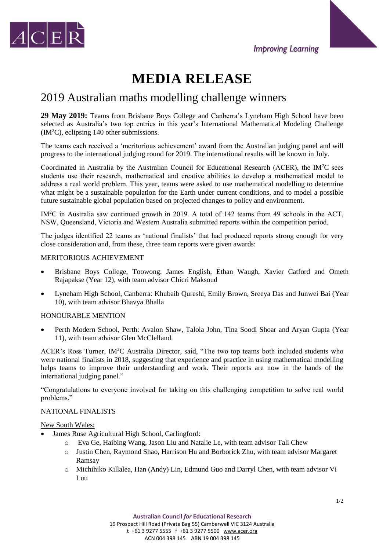





# 2019 Australian maths modelling challenge winners

**29 May 2019:** Teams from Brisbane Boys College and Canberra's Lyneham High School have been selected as Australia's two top entries in this year's International Mathematical Modeling Challenge (IM<sup>2</sup>C), eclipsing 140 other submissions.

The teams each received a 'meritorious achievement' award from the Australian judging panel and will progress to the international judging round for 2019. The international results will be known in July.

Coordinated in Australia by the Australian Council for Educational Research (ACER), the IM<sup>2</sup>C sees students use their research, mathematical and creative abilities to develop a mathematical model to address a real world problem. This year, teams were asked to use mathematical modelling to determine what might be a sustainable population for the Earth under current conditions, and to model a possible future sustainable global population based on projected changes to policy and environment.

IM<sup>2</sup>C in Australia saw continued growth in 2019. A total of 142 teams from 49 schools in the ACT, NSW, Queensland, Victoria and Western Australia submitted reports within the competition period.

The judges identified 22 teams as 'national finalists' that had produced reports strong enough for very close consideration and, from these, three team reports were given awards:

#### MERITORIOUS ACHIEVEMENT

- Brisbane Boys College, Toowong: James English, Ethan Waugh, Xavier Catford and Ometh Rajapakse (Year 12), with team advisor Chicri Maksoud
- Lyneham High School, Canberra: Khubaib Qureshi, Emily Brown, Sreeya Das and Junwei Bai (Year 10), with team advisor Bhavya Bhalla

#### HONOURABLE MENTION

 Perth Modern School, Perth: Avalon Shaw, Talola John, Tina Soodi Shoar and Aryan Gupta (Year 11), with team advisor Glen McClelland.

ACER's Ross Turner, IM<sup>2</sup>C Australia Director, said, "The two top teams both included students who were national finalists in 2018, suggesting that experience and practice in using mathematical modelling helps teams to improve their understanding and work. Their reports are now in the hands of the international judging panel."

"Congratulations to everyone involved for taking on this challenging competition to solve real world problems."

### NATIONAL FINALISTS

New South Wales:

- James Ruse Agricultural High School, Carlingford:
	- o Eva Ge, Haibing Wang, Jason Liu and Natalie Le, with team advisor Tali Chew
	- o Justin Chen, Raymond Shao, Harrison Hu and Borborick Zhu, with team advisor Margaret Ramsay
	- o Michihiko Killalea, Han (Andy) Lin, Edmund Guo and Darryl Chen, with team advisor Vi Luu